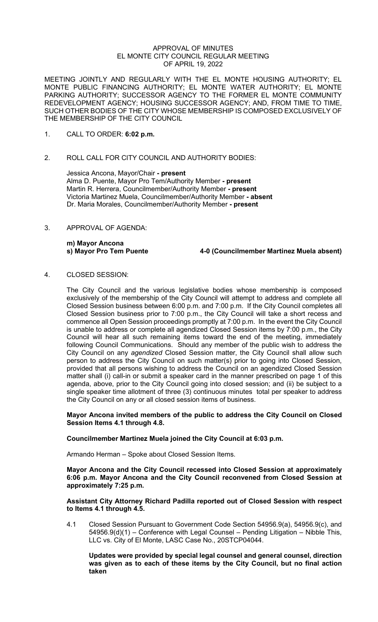#### APPROVAL OF MINUTES EL MONTE CITY COUNCIL REGULAR MEETING OF APRIL 19, 2022

MEETING JOINTLY AND REGULARLY WITH THE EL MONTE HOUSING AUTHORITY; EL MONTE PUBLIC FINANCING AUTHORITY; EL MONTE WATER AUTHORITY; EL MONTE PARKING AUTHORITY; SUCCESSOR AGENCY TO THE FORMER EL MONTE COMMUNITY REDEVELOPMENT AGENCY; HOUSING SUCCESSOR AGENCY; AND, FROM TIME TO TIME, SUCH OTHER BODIES OF THE CITY WHOSE MEMBERSHIP IS COMPOSED EXCLUSIVELY OF THE MEMBERSHIP OF THE CITY COUNCIL

- 1. CALL TO ORDER: **6:02 p.m.**
- 2. ROLL CALL FOR CITY COUNCIL AND AUTHORITY BODIES:

Jessica Ancona, Mayor/Chair **- present** Alma D. Puente, Mayor Pro Tem/Authority Member **- present** Martin R. Herrera, Councilmember/Authority Member **- present** Victoria Martinez Muela, Councilmember/Authority Member **- absent** Dr. Maria Morales, Councilmember/Authority Member **- present**

3. APPROVAL OF AGENDA:

**m) Mayor Ancona**

**s) Mayor Pro Tem Puente 4-0 (Councilmember Martinez Muela absent)**

4. CLOSED SESSION:

The City Council and the various legislative bodies whose membership is composed exclusively of the membership of the City Council will attempt to address and complete all Closed Session business between 6:00 p.m. and 7:00 p.m. If the City Council completes all Closed Session business prior to 7:00 p.m., the City Council will take a short recess and commence all Open Session proceedings promptly at 7:00 p.m. In the event the City Council is unable to address or complete all agendized Closed Session items by 7:00 p.m., the City Council will hear all such remaining items toward the end of the meeting, immediately following Council Communications. Should any member of the public wish to address the City Council on any *agendized* Closed Session matter, the City Council shall allow such person to address the City Council on such matter(s) prior to going into Closed Session, provided that all persons wishing to address the Council on an agendized Closed Session matter shall (i) call-in or submit a speaker card in the manner prescribed on page 1 of this agenda, above, prior to the City Council going into closed session; and (ii) be subject to a single speaker time allotment of three (3) continuous minutes total per speaker to address the City Council on any or all closed session items of business.

**Mayor Ancona invited members of the public to address the City Council on Closed Session Items 4.1 through 4.8.** 

# **Councilmember Martinez Muela joined the City Council at 6:03 p.m.**

Armando Herman – Spoke about Closed Session Items.

**Mayor Ancona and the City Council recessed into Closed Session at approximately 6:06 p.m. Mayor Ancona and the City Council reconvened from Closed Session at approximately 7:25 p.m.**

## **Assistant City Attorney Richard Padilla reported out of Closed Session with respect to Items 4.1 through 4.5.**

4.1 Closed Session Pursuant to Government Code Section 54956.9(a), 54956.9(c), and 54956.9(d)(1) – Conference with Legal Counsel – Pending Litigation – Nibble This, LLC vs. City of El Monte, LASC Case No., 20STCP04044.

**Updates were provided by special legal counsel and general counsel, direction was given as to each of these items by the City Council, but no final action taken**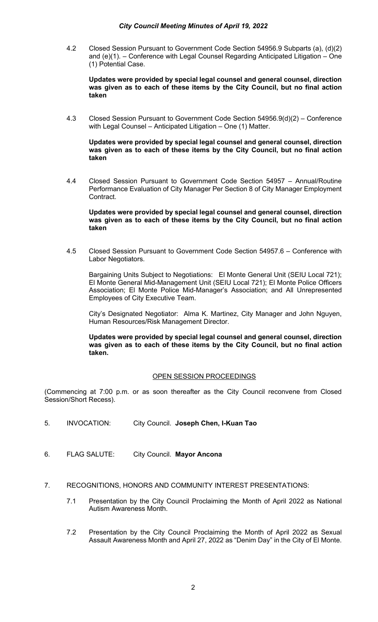4.2 Closed Session Pursuant to Government Code Section 54956.9 Subparts (a), (d)(2) and (e)(1). – Conference with Legal Counsel Regarding Anticipated Litigation – One (1) Potential Case.

**Updates were provided by special legal counsel and general counsel, direction was given as to each of these items by the City Council, but no final action taken**

4.3 Closed Session Pursuant to Government Code Section 54956.9(d)(2) – Conference with Legal Counsel – Anticipated Litigation – One (1) Matter.

**Updates were provided by special legal counsel and general counsel, direction was given as to each of these items by the City Council, but no final action taken**

4.4 Closed Session Pursuant to Government Code Section 54957 – Annual/Routine Performance Evaluation of City Manager Per Section 8 of City Manager Employment Contract.

**Updates were provided by special legal counsel and general counsel, direction was given as to each of these items by the City Council, but no final action taken**

4.5 Closed Session Pursuant to Government Code Section 54957.6 – Conference with Labor Negotiators.

Bargaining Units Subject to Negotiations: El Monte General Unit (SEIU Local 721); El Monte General Mid-Management Unit (SEIU Local 721); El Monte Police Officers Association; El Monte Police Mid-Manager's Association; and All Unrepresented Employees of City Executive Team.

City's Designated Negotiator: Alma K. Martinez, City Manager and John Nguyen, Human Resources/Risk Management Director.

**Updates were provided by special legal counsel and general counsel, direction was given as to each of these items by the City Council, but no final action taken.** 

# OPEN SESSION PROCEEDINGS

(Commencing at 7:00 p.m. or as soon thereafter as the City Council reconvene from Closed Session/Short Recess).

- 5. INVOCATION: City Council. **Joseph Chen, I-Kuan Tao**
- 6. FLAG SALUTE: City Council. **Mayor Ancona**
- 7. RECOGNITIONS, HONORS AND COMMUNITY INTEREST PRESENTATIONS:
	- 7.1 Presentation by the City Council Proclaiming the Month of April 2022 as National Autism Awareness Month.
	- 7.2 Presentation by the City Council Proclaiming the Month of April 2022 as Sexual Assault Awareness Month and April 27, 2022 as "Denim Day" in the City of El Monte.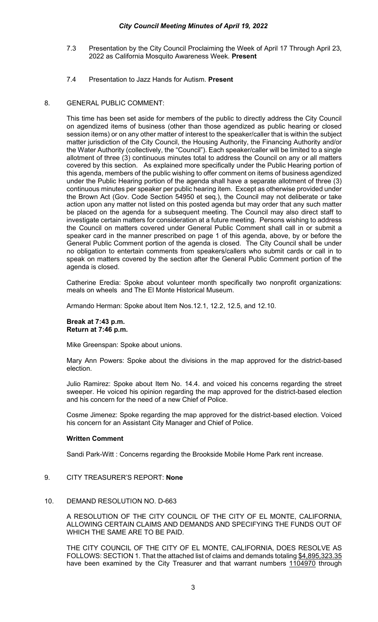## *City Council Meeting Minutes of April 19, 2022*

- 7.3 Presentation by the City Council Proclaiming the Week of April 17 Through April 23, 2022 as California Mosquito Awareness Week. **Present**
- 7.4 Presentation to Jazz Hands for Autism. **Present**

#### 8. GENERAL PUBLIC COMMENT:

This time has been set aside for members of the public to directly address the City Council on agendized items of business (other than those agendized as public hearing or closed session items) or on any other matter of interest to the speaker/caller that is within the subject matter jurisdiction of the City Council, the Housing Authority, the Financing Authority and/or the Water Authority (collectively, the "Council"). Each speaker/caller will be limited to a single allotment of three (3) continuous minutes total to address the Council on any or all matters covered by this section. As explained more specifically under the Public Hearing portion of this agenda, members of the public wishing to offer comment on items of business agendized under the Public Hearing portion of the agenda shall have a separate allotment of three (3) continuous minutes per speaker per public hearing item. Except as otherwise provided under the Brown Act (Gov. Code Section 54950 et seq.), the Council may not deliberate or take action upon any matter not listed on this posted agenda but may order that any such matter be placed on the agenda for a subsequent meeting. The Council may also direct staff to investigate certain matters for consideration at a future meeting. Persons wishing to address the Council on matters covered under General Public Comment shall call in or submit a speaker card in the manner prescribed on page 1 of this agenda, above, by or before the General Public Comment portion of the agenda is closed. The City Council shall be under no obligation to entertain comments from speakers/callers who submit cards or call in to speak on matters covered by the section after the General Public Comment portion of the agenda is closed.

Catherine Eredia: Spoke about volunteer month specifically two nonprofit organizations: meals on wheels and The El Monte Historical Museum.

Armando Herman: Spoke about Item Nos.12.1, 12.2, 12.5, and 12.10.

#### **Break at 7:43 p.m. Return at 7:46 p.m.**

Mike Greenspan: Spoke about unions.

Mary Ann Powers: Spoke about the divisions in the map approved for the district-based election.

Julio Ramirez: Spoke about Item No. 14.4. and voiced his concerns regarding the street sweeper. He voiced his opinion regarding the map approved for the district-based election and his concern for the need of a new Chief of Police.

Cosme Jimenez: Spoke regarding the map approved for the district-based election. Voiced his concern for an Assistant City Manager and Chief of Police.

# **Written Comment**

Sandi Park-Witt : Concerns regarding the Brookside Mobile Home Park rent increase.

# 9. CITY TREASURER'S REPORT: **None**

#### 10. DEMAND RESOLUTION NO. D-663

A RESOLUTION OF THE CITY COUNCIL OF THE CITY OF EL MONTE, CALIFORNIA, ALLOWING CERTAIN CLAIMS AND DEMANDS AND SPECIFYING THE FUNDS OUT OF WHICH THE SAME ARE TO BE PAID.

THE CITY COUNCIL OF THE CITY OF EL MONTE, CALIFORNIA, DOES RESOLVE AS FOLLOWS: SECTION 1. That the attached list of claims and demands totaling \$4,895,323.35 have been examined by the City Treasurer and that warrant numbers 1104970 through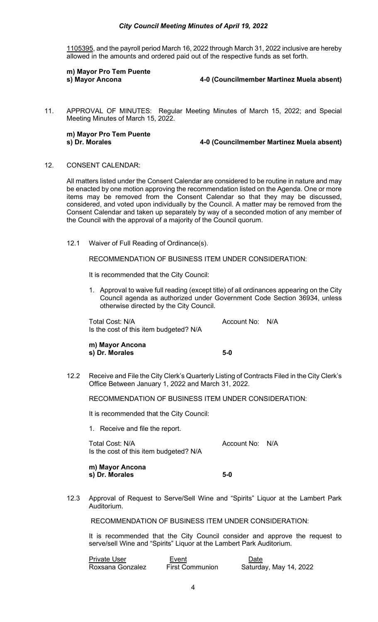## *City Council Meeting Minutes of April 19, 2022*

1105395, and the payroll period March 16, 2022 through March 31, 2022 inclusive are hereby allowed in the amounts and ordered paid out of the respective funds as set forth.

**m) Mayor Pro Tem Puente**

**4-0 (Councilmember Martinez Muela absent)** 

11. APPROVAL OF MINUTES: Regular Meeting Minutes of March 15, 2022; and Special Meeting Minutes of March 15, 2022.

**m) Mayor Pro Tem Puente**

**s) Dr. Morales 4-0 (Councilmember Martinez Muela absent)**

12. CONSENT CALENDAR:

All matters listed under the Consent Calendar are considered to be routine in nature and may be enacted by one motion approving the recommendation listed on the Agenda. One or more items may be removed from the Consent Calendar so that they may be discussed, considered, and voted upon individually by the Council. A matter may be removed from the Consent Calendar and taken up separately by way of a seconded motion of any member of the Council with the approval of a majority of the Council quorum.

12.1 Waiver of Full Reading of Ordinance(s).

RECOMMENDATION OF BUSINESS ITEM UNDER CONSIDERATION:

It is recommended that the City Council:

1. Approval to waive full reading (except title) of all ordinances appearing on the City Council agenda as authorized under Government Code Section 36934, unless otherwise directed by the City Council.

Total Cost: N/A and Total Cost: N/A Is the cost of this item budgeted? N/A

**m) Mayor Ancona s) Dr. Morales 5-0** 

12.2 Receive and File the City Clerk's Quarterly Listing of Contracts Filed in the City Clerk's Office Between January 1, 2022 and March 31, 2022.

RECOMMENDATION OF BUSINESS ITEM UNDER CONSIDERATION:

It is recommended that the City Council:

1. Receive and file the report.

Total Cost: N/A and Total Cost: N/A Is the cost of this item budgeted? N/A

**m) Mayor Ancona s**) Dr. Morales 5-0

12.3 Approval of Request to Serve/Sell Wine and "Spirits" Liquor at the Lambert Park Auditorium.

RECOMMENDATION OF BUSINESS ITEM UNDER CONSIDERATION:

It is recommended that the City Council consider and approve the request to serve/sell Wine and "Spirits" Liquor at the Lambert Park Auditorium.

| <b>Private User</b> | Event                  | Date                   |
|---------------------|------------------------|------------------------|
| Roxsana Gonzalez    | <b>First Communion</b> | Saturday, May 14, 2022 |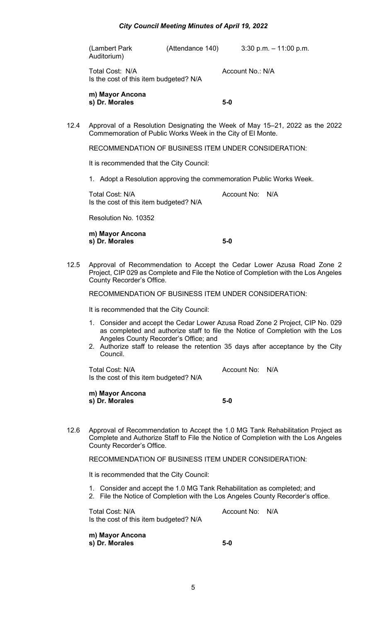| (Lambert Park | (Attendance 140) | $3:30$ p.m. $-11:00$ p.m. |
|---------------|------------------|---------------------------|
| Auditorium)   |                  |                           |

Total Cost: N/A and Cost: N/A Account No.: N/A Is the cost of this item budgeted? N/A

**m) Mayor Ancona s) Dr. Morales 5-0**

12.4 Approval of a Resolution Designating the Week of May 15–21, 2022 as the 2022 Commemoration of Public Works Week in the City of El Monte.

RECOMMENDATION OF BUSINESS ITEM UNDER CONSIDERATION:

It is recommended that the City Council:

1. Adopt a Resolution approving the commemoration Public Works Week.

Total Cost: N/A and Total Cost: N/A Is the cost of this item budgeted? N/A

Resolution No. 10352

**m) Mayor Ancona s) Dr. Morales 5-0**

12.5 Approval of Recommendation to Accept the Cedar Lower Azusa Road Zone 2 Project, CIP 029 as Complete and File the Notice of Completion with the Los Angeles County Recorder's Office.

RECOMMENDATION OF BUSINESS ITEM UNDER CONSIDERATION:

It is recommended that the City Council:

- 1. Consider and accept the Cedar Lower Azusa Road Zone 2 Project, CIP No. 029 as completed and authorize staff to file the Notice of Completion with the Los Angeles County Recorder's Office; and
- 2. Authorize staff to release the retention 35 days after acceptance by the City Council.

Total Cost: N/A and Cost: N/A Account No: N/A Is the cost of this item budgeted? N/A

**m) Mayor Ancona s) Dr. Morales 5-0**

12.6 Approval of Recommendation to Accept the 1.0 MG Tank Rehabilitation Project as Complete and Authorize Staff to File the Notice of Completion with the Los Angeles County Recorder's Office.

RECOMMENDATION OF BUSINESS ITEM UNDER CONSIDERATION:

It is recommended that the City Council:

- 1. Consider and accept the 1.0 MG Tank Rehabilitation as completed; and
- 2. File the Notice of Completion with the Los Angeles County Recorder's office.

Total Cost: N/A Account No: N/A Is the cost of this item budgeted? N/A

**m) Mayor Ancona s) Dr. Morales 5-0**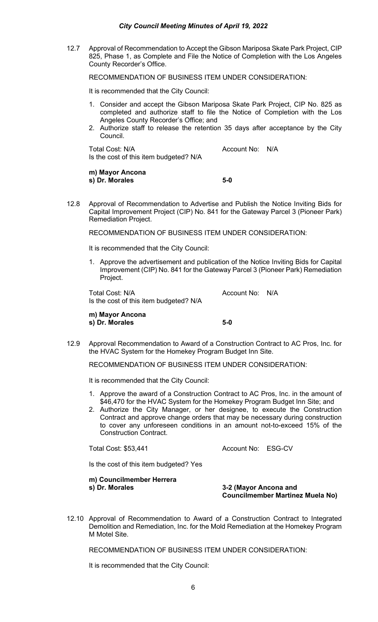12.7 Approval of Recommendation to Accept the Gibson Mariposa Skate Park Project, CIP 825, Phase 1, as Complete and File the Notice of Completion with the Los Angeles County Recorder's Office.

RECOMMENDATION OF BUSINESS ITEM UNDER CONSIDERATION:

It is recommended that the City Council:

- 1. Consider and accept the Gibson Mariposa Skate Park Project, CIP No. 825 as completed and authorize staff to file the Notice of Completion with the Los Angeles County Recorder's Office; and
- 2. Authorize staff to release the retention 35 days after acceptance by the City Council.

Total Cost: N/A and Cost Controller and Account No: N/A Is the cost of this item budgeted? N/A

**m) Mayor Ancona s) Dr. Morales 5-0**

12.8 Approval of Recommendation to Advertise and Publish the Notice Inviting Bids for Capital Improvement Project (CIP) No. 841 for the Gateway Parcel 3 (Pioneer Park) Remediation Project.

RECOMMENDATION OF BUSINESS ITEM UNDER CONSIDERATION:

It is recommended that the City Council:

1. Approve the advertisement and publication of the Notice Inviting Bids for Capital Improvement (CIP) No. 841 for the Gateway Parcel 3 (Pioneer Park) Remediation Project.

Total Cost: N/A and Account No: N/A Is the cost of this item budgeted? N/A

**m) Mayor Ancona s) Dr. Morales 5-0**

12.9 Approval Recommendation to Award of a Construction Contract to AC Pros, Inc. for the HVAC System for the Homekey Program Budget Inn Site.

RECOMMENDATION OF BUSINESS ITEM UNDER CONSIDERATION:

It is recommended that the City Council:

- 1. Approve the award of a Construction Contract to AC Pros, Inc. in the amount of \$46,470 for the HVAC System for the Homekey Program Budget Inn Site; and
- 2. Authorize the City Manager, or her designee, to execute the Construction Contract and approve change orders that may be necessary during construction to cover any unforeseen conditions in an amount not-to-exceed 15% of the Construction Contract.

Total Cost: \$53,441 Account No: ESG-CV

Is the cost of this item budgeted? Yes

**m) Councilmember Herrera s) Dr. Morales 3-2 (Mayor Ancona and** 

**Councilmember Martinez Muela No)**

12.10 Approval of Recommendation to Award of a Construction Contract to Integrated Demolition and Remediation, Inc. for the Mold Remediation at the Homekey Program M Motel Site.

RECOMMENDATION OF BUSINESS ITEM UNDER CONSIDERATION:

It is recommended that the City Council: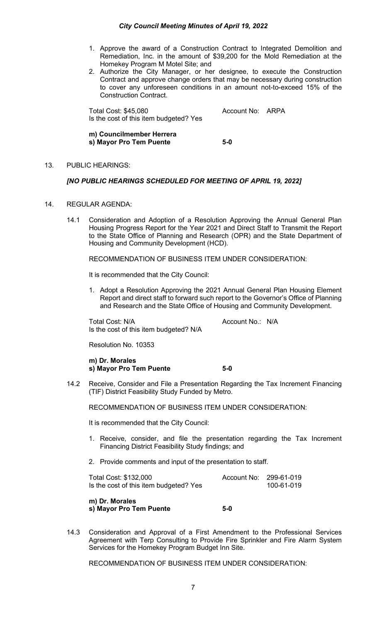- 1. Approve the award of a Construction Contract to Integrated Demolition and Remediation, Inc. in the amount of \$39,200 for the Mold Remediation at the Homekey Program M Motel Site; and
- 2. Authorize the City Manager, or her designee, to execute the Construction Contract and approve change orders that may be necessary during construction to cover any unforeseen conditions in an amount not-to-exceed 15% of the Construction Contract.

Total Cost: \$45,080 Account No: ARPA Is the cost of this item budgeted? Yes

**m) Councilmember Herrera s) Mayor Pro Tem Puente 5-0**

## 13. PUBLIC HEARINGS:

## *[NO PUBLIC HEARINGS SCHEDULED FOR MEETING OF APRIL 19, 2022]*

- 14. REGULAR AGENDA:
	- 14.1 Consideration and Adoption of a Resolution Approving the Annual General Plan Housing Progress Report for the Year 2021 and Direct Staff to Transmit the Report to the State Office of Planning and Research (OPR) and the State Department of Housing and Community Development (HCD).

RECOMMENDATION OF BUSINESS ITEM UNDER CONSIDERATION:

It is recommended that the City Council:

1. Adopt a Resolution Approving the 2021 Annual General Plan Housing Element Report and direct staff to forward such report to the Governor's Office of Planning and Research and the State Office of Housing and Community Development.

Total Cost: N/A and Total Cost: N/A Is the cost of this item budgeted? N/A

Resolution No. 10353

**m) Dr. Morales s) Mayor Pro Tem Puente 5-0**

14.2 Receive, Consider and File a Presentation Regarding the Tax Increment Financing (TIF) District Feasibility Study Funded by Metro.

RECOMMENDATION OF BUSINESS ITEM UNDER CONSIDERATION:

It is recommended that the City Council:

- 1. Receive, consider, and file the presentation regarding the Tax Increment Financing District Feasibility Study findings; and
- 2. Provide comments and input of the presentation to staff.

| Total Cost: \$132,000                  | Account No: 299-61-019 |            |
|----------------------------------------|------------------------|------------|
| Is the cost of this item budgeted? Yes |                        | 100-61-019 |
|                                        |                        |            |

**m) Dr. Morales s) Mayor Pro Tem Puente 5-0**

14.3 Consideration and Approval of a First Amendment to the Professional Services Agreement with Terp Consulting to Provide Fire Sprinkler and Fire Alarm System Services for the Homekey Program Budget Inn Site.

RECOMMENDATION OF BUSINESS ITEM UNDER CONSIDERATION: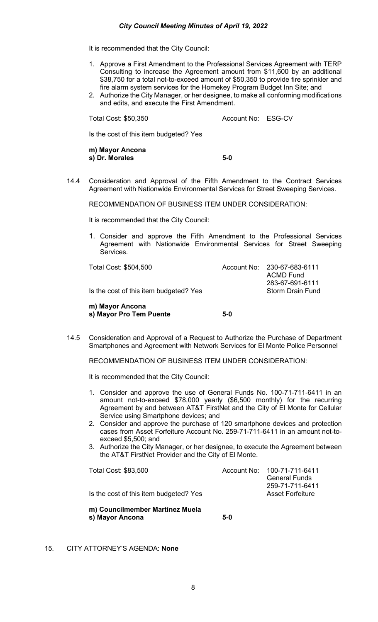It is recommended that the City Council:

- 1. Approve a First Amendment to the Professional Services Agreement with TERP Consulting to increase the Agreement amount from \$11,600 by an additional \$38,750 for a total not-to-exceed amount of \$50,350 to provide fire sprinkler and fire alarm system services for the Homekey Program Budget Inn Site; and
- 2. Authorize the City Manager, or her designee, to make all conforming modifications and edits, and execute the First Amendment.

Total Cost: \$50,350 Account No: ESG-CV

Is the cost of this item budgeted? Yes

**m) Mayor Ancona s) Dr. Morales 5-0**

14.4 Consideration and Approval of the Fifth Amendment to the Contract Services Agreement with Nationwide Environmental Services for Street Sweeping Services.

RECOMMENDATION OF BUSINESS ITEM UNDER CONSIDERATION:

It is recommended that the City Council:

1. Consider and approve the Fifth Amendment to the Professional Services Agreement with Nationwide Environmental Services for Street Sweeping **Services** 

| m) Mayor Ancona<br>s) Mayor Pro Tem Puente | 5-0 |                                                 |
|--------------------------------------------|-----|-------------------------------------------------|
| Is the cost of this item budgeted? Yes     |     | 283-67-691-6111<br><b>Storm Drain Fund</b>      |
| Total Cost: \$504,500                      |     | Account No: 230-67-683-6111<br><b>ACMD Fund</b> |

14.5 Consideration and Approval of a Request to Authorize the Purchase of Department Smartphones and Agreement with Network Services for El Monte Police Personnel

RECOMMENDATION OF BUSINESS ITEM UNDER CONSIDERATION:

It is recommended that the City Council:

- 1. Consider and approve the use of General Funds No. 100-71-711-6411 in an amount not-to-exceed \$78,000 yearly (\$6,500 monthly) for the recurring Agreement by and between AT&T FirstNet and the City of El Monte for Cellular Service using Smartphone devices; and
- 2. Consider and approve the purchase of 120 smartphone devices and protection cases from Asset Forfeiture Account No. 259-71-711-6411 in an amount not-toexceed \$5,500; and
- 3. Authorize the City Manager, or her designee, to execute the Agreement between the AT&T FirstNet Provider and the City of El Monte.

| m) Councilmember Martinez Muela<br>s) Mayor Ancona | $5-0$ |                                                                    |
|----------------------------------------------------|-------|--------------------------------------------------------------------|
| Is the cost of this item budgeted? Yes             |       | <b>General Funds</b><br>259-71-711-6411<br><b>Asset Forfeiture</b> |
| Total Cost: \$83,500                               |       | Account No: 100-71-711-6411                                        |

15. CITY ATTORNEY'S AGENDA: **None**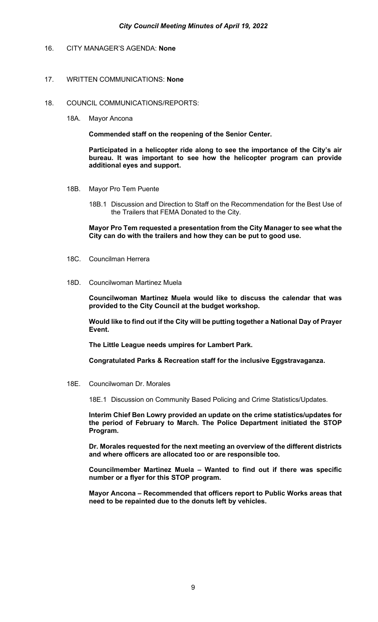# 16. CITY MANAGER'S AGENDA: **None**

#### 17. WRITTEN COMMUNICATIONS: **None**

- 18. COUNCIL COMMUNICATIONS/REPORTS:
	- 18A. Mayor Ancona

**Commended staff on the reopening of the Senior Center.** 

**Participated in a helicopter ride along to see the importance of the City's air bureau. It was important to see how the helicopter program can provide additional eyes and support.** 

- 18B. Mayor Pro Tem Puente
	- 18B.1 Discussion and Direction to Staff on the Recommendation for the Best Use of the Trailers that FEMA Donated to the City.

**Mayor Pro Tem requested a presentation from the City Manager to see what the City can do with the trailers and how they can be put to good use.**

- 18C. Councilman Herrera
- 18D. Councilwoman Martinez Muela

**Councilwoman Martinez Muela would like to discuss the calendar that was provided to the City Council at the budget workshop.**

**Would like to find out if the City will be putting together a National Day of Prayer Event.** 

**The Little League needs umpires for Lambert Park.** 

**Congratulated Parks & Recreation staff for the inclusive Eggstravaganza.** 

18E. Councilwoman Dr. Morales

18E.1 Discussion on Community Based Policing and Crime Statistics/Updates.

**Interim Chief Ben Lowry provided an update on the crime statistics/updates for the period of February to March. The Police Department initiated the STOP Program.** 

**Dr. Morales requested for the next meeting an overview of the different districts and where officers are allocated too or are responsible too.** 

**Councilmember Martinez Muela – Wanted to find out if there was specific number or a flyer for this STOP program.** 

**Mayor Ancona – Recommended that officers report to Public Works areas that need to be repainted due to the donuts left by vehicles.**